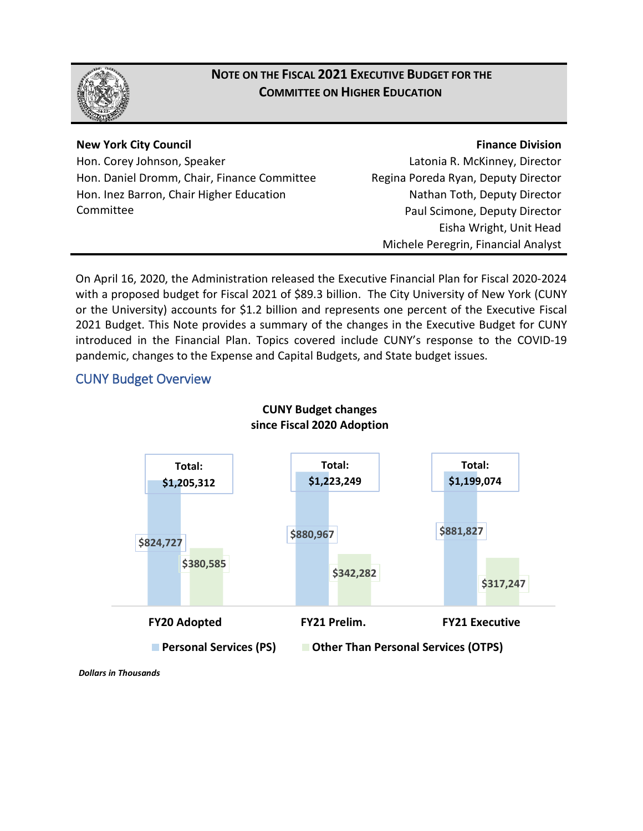

# **NOTE ON THE FISCAL 2021 EXECUTIVE BUDGET FOR THE COMMITTEE ON HIGHER EDUCATION**

#### **New York City Council**

Hon. Corey Johnson, Speaker Hon. Daniel Dromm, Chair, Finance Committee Hon. Inez Barron, Chair Higher Education Committee

#### **Finance Division**

Latonia R. McKinney, Director Regina Poreda Ryan, Deputy Director Nathan Toth, Deputy Director Paul Scimone, Deputy Director Eisha Wright, Unit Head Michele Peregrin, Financial Analyst

On April 16, 2020, the Administration released the Executive Financial Plan for Fiscal 2020-2024 with a proposed budget for Fiscal 2021 of \$89.3 billion. The City University of New York (CUNY or the University) accounts for \$1.2 billion and represents one percent of the Executive Fiscal 2021 Budget. This Note provides a summary of the changes in the Executive Budget for CUNY introduced in the Financial Plan. Topics covered include CUNY's response to the COVID-19 pandemic, changes to the Expense and Capital Budgets, and State budget issues.

## CUNY Budget Overview



**CUNY Budget changes**

*Dollars in Thousands*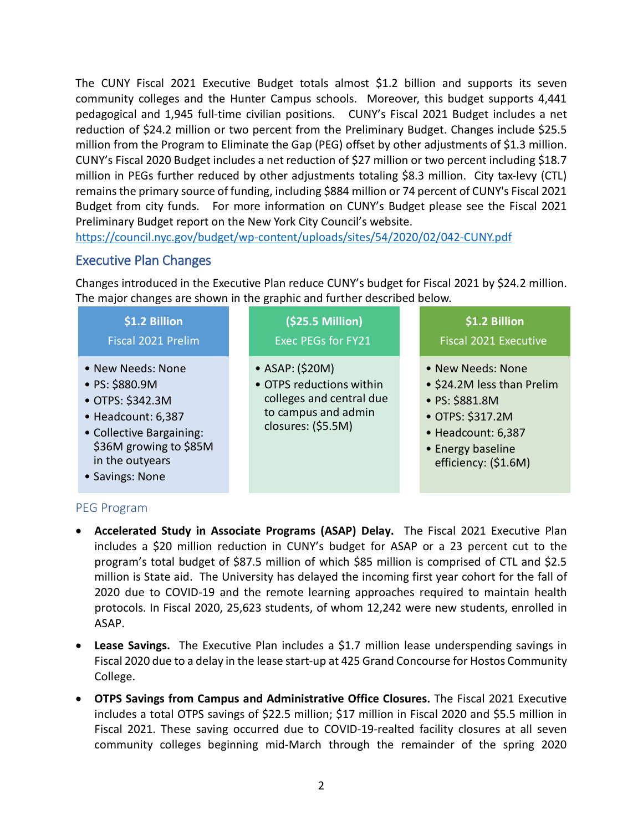The CUNY Fiscal 2021 Executive Budget totals almost \$1.2 billion and supports its seven community colleges and the Hunter Campus schools. Moreover, this budget supports 4,441 pedagogical and 1,945 full-time civilian positions. CUNY's Fiscal 2021 Budget includes a net reduction of \$24.2 million or two percent from the Preliminary Budget. Changes include \$25.5 million from the Program to Eliminate the Gap (PEG) offset by other adjustments of \$1.3 million. CUNY's Fiscal 2020 Budget includes a net reduction of \$27 million or two percent including \$18.7 million in PEGs further reduced by other adjustments totaling \$8.3 million. City tax-levy (CTL) remains the primary source of funding, including \$884 million or 74 percent of CUNY's Fiscal 2021 Budget from city funds. For more information on CUNY's Budget please see the Fiscal 2021 Preliminary Budget report on the New York City Council's website.

<https://council.nyc.gov/budget/wp-content/uploads/sites/54/2020/02/042-CUNY.pdf>

### Executive Plan Changes

Changes introduced in the Executive Plan reduce CUNY's budget for Fiscal 2021 by \$24.2 million. The major changes are shown in the graphic and further described below.

| \$1.2 Billion<br>Fiscal 2021 Prelim                                                                                                                                       | (\$25.5 Million)<br><b>Exec PEGs for FY21</b>                                                                        | \$1.2 Billion<br><b>Fiscal 2021 Executive</b>                                                                                                            |
|---------------------------------------------------------------------------------------------------------------------------------------------------------------------------|----------------------------------------------------------------------------------------------------------------------|----------------------------------------------------------------------------------------------------------------------------------------------------------|
| • New Needs: None<br>• PS: \$880.9M<br>• OTPS: \$342.3M<br>• Headcount: 6,387<br>• Collective Bargaining:<br>\$36M growing to \$85M<br>in the outyears<br>• Savings: None | • ASAP: (\$20M)<br>• OTPS reductions within<br>colleges and central due<br>to campus and admin<br>closures: (\$5.5M) | • New Needs: None<br>• \$24.2M less than Prelim<br>• PS: \$881.8M<br>• OTPS: \$317.2M<br>• Headcount: 6,387<br>• Energy baseline<br>efficiency: (\$1.6M) |

### PEG Program

- **Accelerated Study in Associate Programs (ASAP) Delay.** The Fiscal 2021 Executive Plan includes a \$20 million reduction in CUNY's budget for ASAP or a 23 percent cut to the program's total budget of \$87.5 million of which \$85 million is comprised of CTL and \$2.5 million is State aid. The University has delayed the incoming first year cohort for the fall of 2020 due to COVID-19 and the remote learning approaches required to maintain health protocols. In Fiscal 2020, 25,623 students, of whom 12,242 were new students, enrolled in ASAP.
- **Lease Savings.** The Executive Plan includes a \$1.7 million lease underspending savings in Fiscal 2020 due to a delay in the lease start-up at 425 Grand Concourse for Hostos Community College.
- **OTPS Savings from Campus and Administrative Office Closures.** The Fiscal 2021 Executive includes a total OTPS savings of \$22.5 million; \$17 million in Fiscal 2020 and \$5.5 million in Fiscal 2021. These saving occurred due to COVID-19-realted facility closures at all seven community colleges beginning mid-March through the remainder of the spring 2020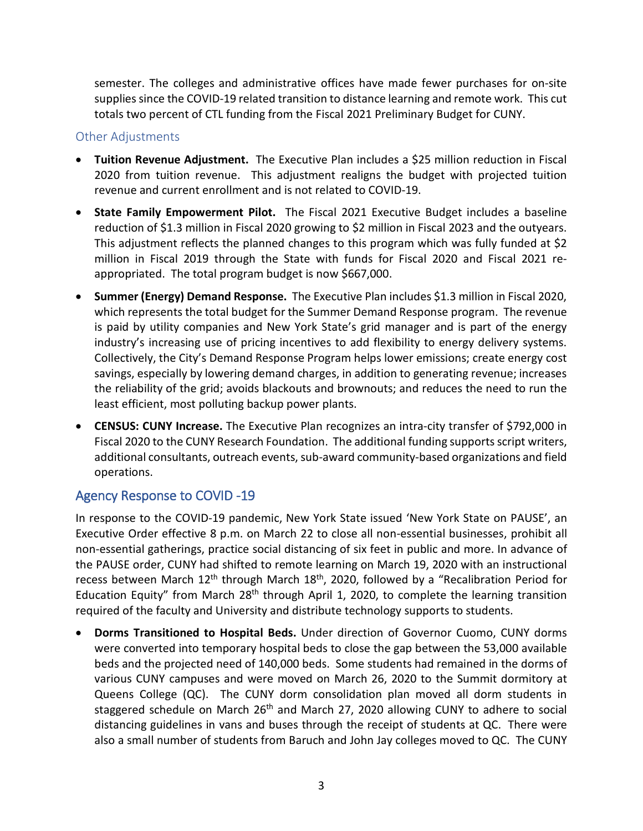semester. The colleges and administrative offices have made fewer purchases for on-site supplies since the COVID-19 related transition to distance learning and remote work. This cut totals two percent of CTL funding from the Fiscal 2021 Preliminary Budget for CUNY.

### Other Adjustments

- **Tuition Revenue Adjustment.** The Executive Plan includes a \$25 million reduction in Fiscal 2020 from tuition revenue. This adjustment realigns the budget with projected tuition revenue and current enrollment and is not related to COVID-19.
- **State Family Empowerment Pilot.** The Fiscal 2021 Executive Budget includes a baseline reduction of \$1.3 million in Fiscal 2020 growing to \$2 million in Fiscal 2023 and the outyears. This adjustment reflects the planned changes to this program which was fully funded at \$2 million in Fiscal 2019 through the State with funds for Fiscal 2020 and Fiscal 2021 reappropriated. The total program budget is now \$667,000.
- **Summer (Energy) Demand Response.** The Executive Plan includes \$1.3 million in Fiscal 2020, which represents the total budget for the Summer Demand Response program. The revenue is paid by utility companies and New York State's grid manager and is part of the energy industry's increasing use of pricing incentives to add flexibility to energy delivery systems. Collectively, the City's Demand Response Program helps lower emissions; create energy cost savings, especially by lowering demand charges, in addition to generating revenue; increases the reliability of the grid; avoids blackouts and brownouts; and reduces the need to run the least efficient, most polluting backup power plants.
- **CENSUS: CUNY Increase.** The Executive Plan recognizes an intra-city transfer of \$792,000 in Fiscal 2020 to the CUNY Research Foundation. The additional funding supports script writers, additional consultants, outreach events, sub-award community-based organizations and field operations.

## Agency Response to COVID -19

In response to the COVID-19 pandemic, New York State issued 'New York State on PAUSE', an Executive Order effective 8 p.m. on March 22 to close all non-essential businesses, prohibit all non-essential gatherings, practice social distancing of six feet in public and more. In advance of the PAUSE order, CUNY had shifted to remote learning on March 19, 2020 with an instructional recess between March 12<sup>th</sup> through March 18<sup>th</sup>, 2020, followed by a "Recalibration Period for Education Equity" from March  $28<sup>th</sup>$  through April 1, 2020, to complete the learning transition required of the faculty and University and distribute technology supports to students.

• **Dorms Transitioned to Hospital Beds.** Under direction of Governor Cuomo, CUNY dorms were converted into temporary hospital beds to close the gap between the 53,000 available beds and the projected need of 140,000 beds. Some students had remained in the dorms of various CUNY campuses and were moved on March 26, 2020 to the Summit dormitory at Queens College (QC). The CUNY dorm consolidation plan moved all dorm students in staggered schedule on March 26<sup>th</sup> and March 27, 2020 allowing CUNY to adhere to social distancing guidelines in vans and buses through the receipt of students at QC. There were also a small number of students from Baruch and John Jay colleges moved to QC. The CUNY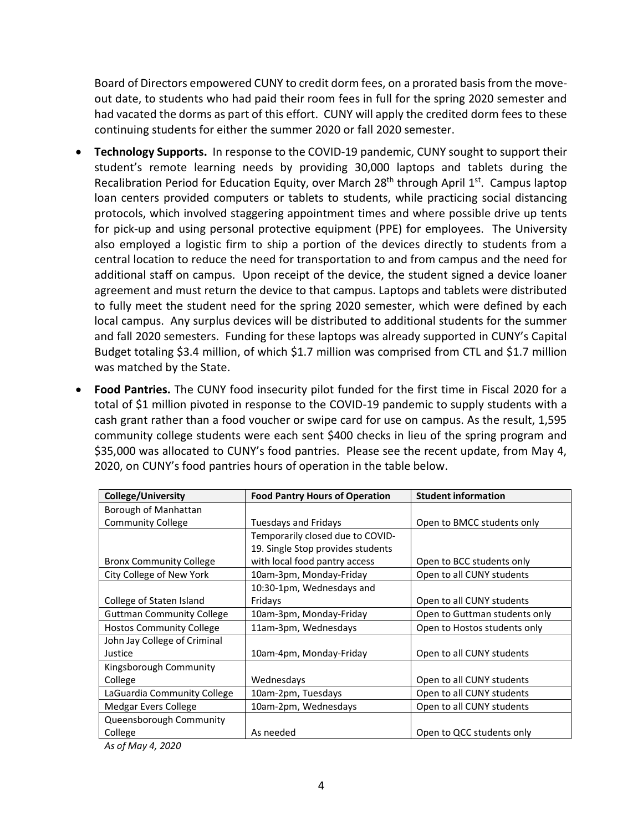Board of Directors empowered CUNY to credit dorm fees, on a prorated basis from the moveout date, to students who had paid their room fees in full for the spring 2020 semester and had vacated the dorms as part of this effort. CUNY will apply the credited dorm fees to these continuing students for either the summer 2020 or fall 2020 semester.

- **Technology Supports.** In response to the COVID-19 pandemic, CUNY sought to support their student's remote learning needs by providing 30,000 laptops and tablets during the Recalibration Period for Education Equity, over March  $28<sup>th</sup>$  through April  $1<sup>st</sup>$ . Campus laptop loan centers provided computers or tablets to students, while practicing social distancing protocols, which involved staggering appointment times and where possible drive up tents for pick-up and using personal protective equipment (PPE) for employees. The University also employed a logistic firm to ship a portion of the devices directly to students from a central location to reduce the need for transportation to and from campus and the need for additional staff on campus. Upon receipt of the device, the student signed a device loaner agreement and must return the device to that campus. Laptops and tablets were distributed to fully meet the student need for the spring 2020 semester, which were defined by each local campus. Any surplus devices will be distributed to additional students for the summer and fall 2020 semesters. Funding for these laptops was already supported in CUNY's Capital Budget totaling \$3.4 million, of which \$1.7 million was comprised from CTL and \$1.7 million was matched by the State.
- **Food Pantries.** The CUNY food insecurity pilot funded for the first time in Fiscal 2020 for a total of \$1 million pivoted in response to the COVID-19 pandemic to supply students with a cash grant rather than a food voucher or swipe card for use on campus. As the result, 1,595 community college students were each sent \$400 checks in lieu of the spring program and \$35,000 was allocated to CUNY's food pantries. Please see the recent update, from May 4, 2020, on CUNY's food pantries hours of operation in the table below.

| College/University               | <b>Food Pantry Hours of Operation</b> | <b>Student information</b>    |
|----------------------------------|---------------------------------------|-------------------------------|
| Borough of Manhattan             |                                       |                               |
| <b>Community College</b>         | Tuesdays and Fridays                  | Open to BMCC students only    |
|                                  | Temporarily closed due to COVID-      |                               |
|                                  | 19. Single Stop provides students     |                               |
| <b>Bronx Community College</b>   | with local food pantry access         | Open to BCC students only     |
| City College of New York         | 10am-3pm, Monday-Friday               | Open to all CUNY students     |
|                                  | 10:30-1pm, Wednesdays and             |                               |
| College of Staten Island         | Fridays                               | Open to all CUNY students     |
| <b>Guttman Community College</b> | 10am-3pm, Monday-Friday               | Open to Guttman students only |
| <b>Hostos Community College</b>  | 11am-3pm, Wednesdays                  | Open to Hostos students only  |
| John Jay College of Criminal     |                                       |                               |
| Justice                          | 10am-4pm, Monday-Friday               | Open to all CUNY students     |
| Kingsborough Community           |                                       |                               |
| College                          | Wednesdays                            | Open to all CUNY students     |
| LaGuardia Community College      | 10am-2pm, Tuesdays                    | Open to all CUNY students     |
| Medgar Evers College             | 10am-2pm, Wednesdays                  | Open to all CUNY students     |
| Queensborough Community          |                                       |                               |
| College                          | As needed                             | Open to QCC students only     |

*As of May 4, 2020*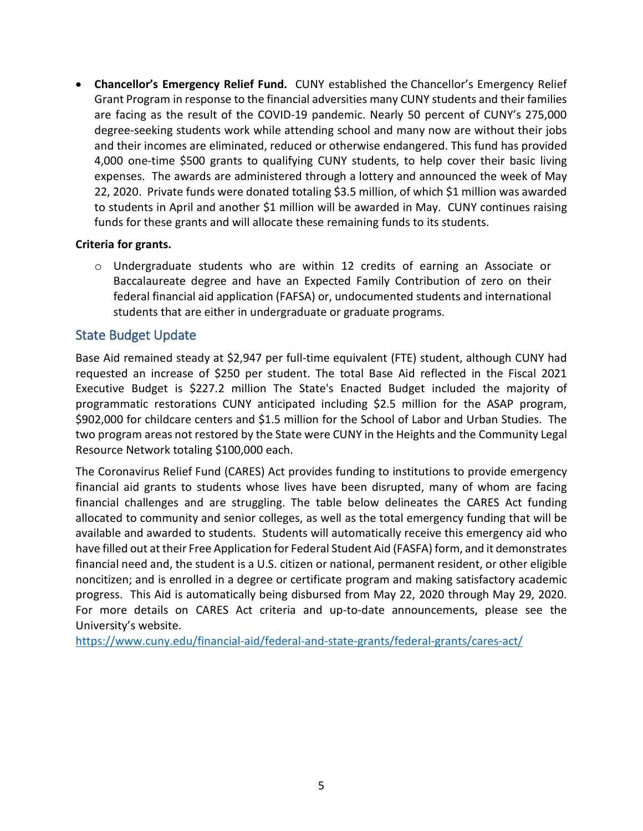• **Chancellor's Emergency Relief Fund.** CUNY established the Chancellor's Emergency Relief Grant Program in response to the financial adversities many CUNY students and their families are facing as the result of the COVID-19 pandemic. Nearly 50 percent of CUNY's 275,000 degree-seeking students work while attending school and many now are without their jobs and their incomes are eliminated, reduced or otherwise endangered. This fund has provided 4,000 one-time \$500 grants to qualifying CUNY students, to help cover their basic living expenses. The awards are administered through a lottery and announced the week of May 22, 2020. Private funds were donated totaling \$3.5 million, of which \$1 million was awarded to students in April and another \$1 million will be awarded in May. CUNY continues raising funds for these grants and will allocate these remaining funds to its students.

#### **Criteria for grants.**

 $\circ$  Undergraduate students who are within 12 credits of earning an Associate or Baccalaureate degree and have an Expected Family Contribution of zero on their federal financial aid application (FAFSA) or, undocumented students and international students that are either in undergraduate or graduate programs.

### State Budget Update

Base Aid remained steady at \$2,947 per full-time equivalent (FTE) student, although CUNY had requested an increase of \$250 per student. The total Base Aid reflected in the Fiscal 2021 Executive Budget is \$227.2 million The State's Enacted Budget included the majority of programmatic restorations CUNY anticipated including \$2.5 million for the ASAP program, \$902,000 for childcare centers and \$1.5 million for the School of Labor and Urban Studies. The two program areas not restored by the State were CUNY in the Heights and the Community Legal Resource Network totaling \$100,000 each.

The Coronavirus Relief Fund (CARES) Act provides funding to institutions to provide emergency financial aid grants to students whose lives have been disrupted, many of whom are facing financial challenges and are struggling. The table below delineates the CARES Act funding allocated to community and senior colleges, as well as the total emergency funding that will be available and awarded to students. Students will automatically receive this emergency aid who have filled out at their Free Application for Federal Student Aid (FASFA) form, and it demonstrates financial need and, the student is a U.S. citizen or national, permanent resident, or other eligible noncitizen; and is enrolled in a degree or certificate program and making satisfactory academic progress. This Aid is automatically being disbursed from May 22, 2020 through May 29, 2020. For more details on CARES Act criteria and up-to-date announcements, please see the University's website.

<https://www.cuny.edu/financial-aid/federal-and-state-grants/federal-grants/cares-act/>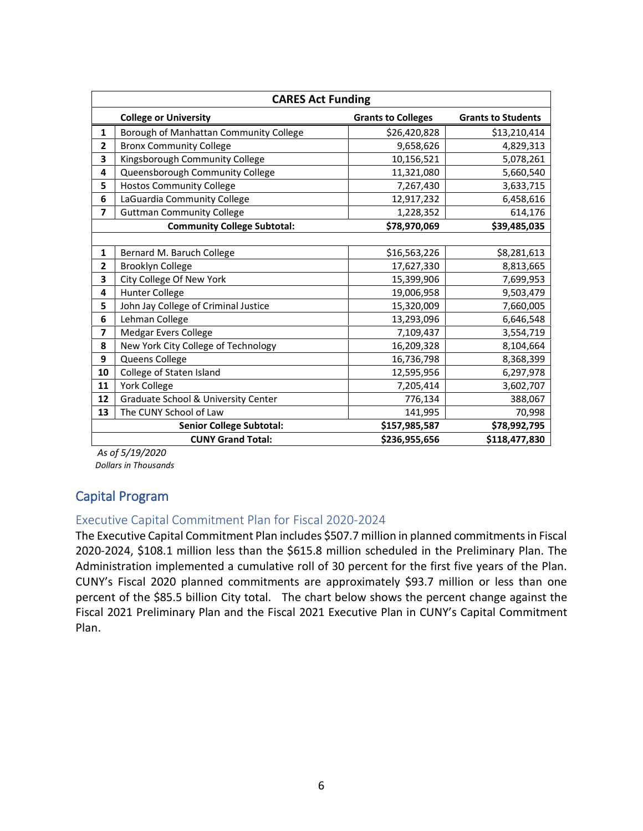| <b>CARES Act Funding</b> |                                                            |                           |                           |  |  |  |
|--------------------------|------------------------------------------------------------|---------------------------|---------------------------|--|--|--|
|                          | <b>College or University</b>                               | <b>Grants to Colleges</b> | <b>Grants to Students</b> |  |  |  |
| 1                        | Borough of Manhattan Community College                     | \$26,420,828              | \$13,210,414              |  |  |  |
| $\overline{2}$           | <b>Bronx Community College</b>                             | 9,658,626                 | 4,829,313                 |  |  |  |
| 3                        | Kingsborough Community College                             | 10,156,521                | 5,078,261                 |  |  |  |
| 4                        | Queensborough Community College                            | 11,321,080                | 5,660,540                 |  |  |  |
| 5                        | <b>Hostos Community College</b>                            | 7,267,430                 | 3,633,715                 |  |  |  |
| 6                        | LaGuardia Community College                                | 12,917,232                | 6,458,616                 |  |  |  |
| $\overline{\mathbf{z}}$  | <b>Guttman Community College</b>                           | 1,228,352                 | 614,176                   |  |  |  |
|                          | <b>Community College Subtotal:</b>                         | \$78,970,069              | \$39,485,035              |  |  |  |
|                          |                                                            |                           |                           |  |  |  |
| 1                        | Bernard M. Baruch College                                  | \$16,563,226              | \$8,281,613               |  |  |  |
| $\overline{2}$           | <b>Brooklyn College</b>                                    | 17,627,330                | 8,813,665                 |  |  |  |
| 3                        | City College Of New York                                   | 15,399,906                | 7,699,953                 |  |  |  |
| 4                        | <b>Hunter College</b>                                      | 19,006,958                | 9,503,479                 |  |  |  |
| 5                        | John Jay College of Criminal Justice                       | 15,320,009                | 7,660,005                 |  |  |  |
| 6                        | Lehman College                                             | 13,293,096                | 6,646,548                 |  |  |  |
| 7                        | Medgar Evers College                                       | 7,109,437                 | 3,554,719                 |  |  |  |
| 8                        | New York City College of Technology                        | 16,209,328                | 8,104,664                 |  |  |  |
| 9                        | Queens College                                             | 16,736,798                | 8,368,399                 |  |  |  |
| 10                       | College of Staten Island                                   | 12,595,956                | 6,297,978                 |  |  |  |
| 11                       | <b>York College</b>                                        | 7,205,414                 | 3,602,707                 |  |  |  |
| 12                       | Graduate School & University Center                        | 776,134                   | 388,067                   |  |  |  |
| 13                       | The CUNY School of Law                                     | 141,995                   | 70,998                    |  |  |  |
|                          | <b>Senior College Subtotal:</b>                            | \$157,985,587             | \$78,992,795              |  |  |  |
|                          | <b>CUNY Grand Total:</b><br>\$236,955,656<br>\$118,477,830 |                           |                           |  |  |  |

*As of 5/19/2020 Dollars in Thousands*

## Capital Program

### Executive Capital Commitment Plan for Fiscal 2020-2024

The Executive Capital Commitment Plan includes \$507.7 million in planned commitments in Fiscal 2020-2024, \$108.1 million less than the \$615.8 million scheduled in the Preliminary Plan. The Administration implemented a cumulative roll of 30 percent for the first five years of the Plan. CUNY's Fiscal 2020 planned commitments are approximately \$93.7 million or less than one percent of the \$85.5 billion City total. The chart below shows the percent change against the Fiscal 2021 Preliminary Plan and the Fiscal 2021 Executive Plan in CUNY's Capital Commitment Plan.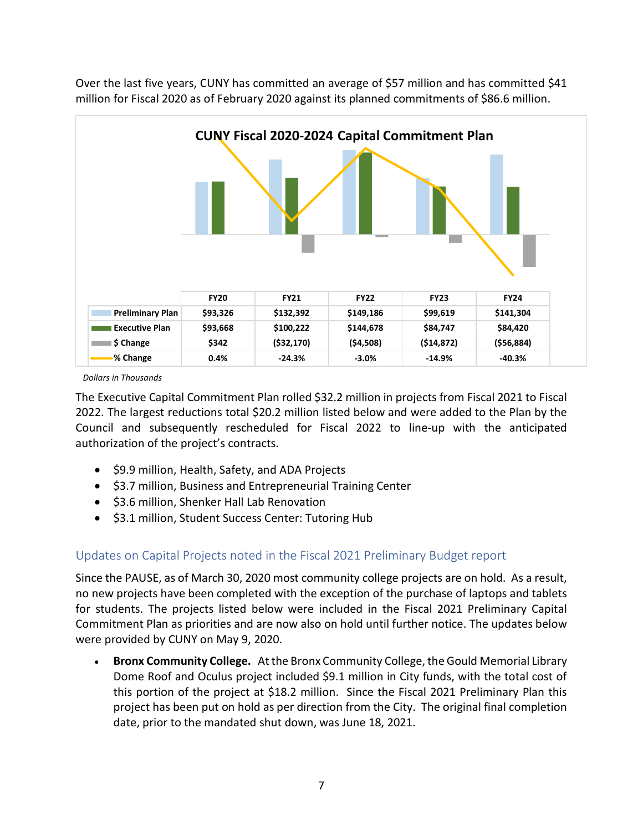

Over the last five years, CUNY has committed an average of \$57 million and has committed \$41 million for Fiscal 2020 as of February 2020 against its planned commitments of \$86.6 million.

 *Dollars in Thousands*

The Executive Capital Commitment Plan rolled \$32.2 million in projects from Fiscal 2021 to Fiscal 2022. The largest reductions total \$20.2 million listed below and were added to the Plan by the Council and subsequently rescheduled for Fiscal 2022 to line-up with the anticipated authorization of the project's contracts.

- \$9.9 million, Health, Safety, and ADA Projects
- \$3.7 million, Business and Entrepreneurial Training Center
- \$3.6 million, Shenker Hall Lab Renovation
- \$3.1 million, Student Success Center: Tutoring Hub

### Updates on Capital Projects noted in the Fiscal 2021 Preliminary Budget report

Since the PAUSE, as of March 30, 2020 most community college projects are on hold. As a result, no new projects have been completed with the exception of the purchase of laptops and tablets for students. The projects listed below were included in the Fiscal 2021 Preliminary Capital Commitment Plan as priorities and are now also on hold until further notice. The updates below were provided by CUNY on May 9, 2020.

• **Bronx Community College.** At the Bronx Community College, the Gould Memorial Library Dome Roof and Oculus project included \$9.1 million in City funds, with the total cost of this portion of the project at \$18.2 million. Since the Fiscal 2021 Preliminary Plan this project has been put on hold as per direction from the City. The original final completion date, prior to the mandated shut down, was June 18, 2021.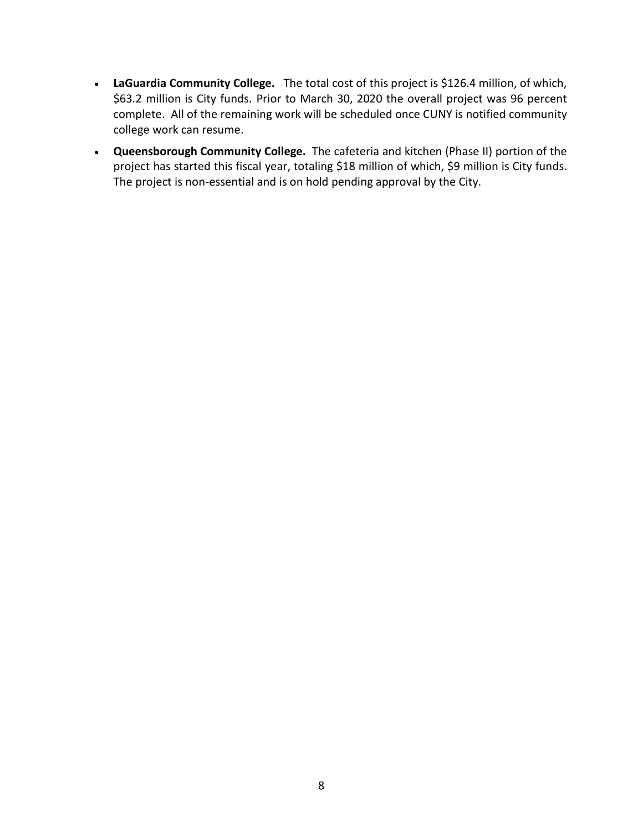- **LaGuardia Community College.** The total cost of this project is \$126.4 million, of which, \$63.2 million is City funds. Prior to March 30, 2020 the overall project was 96 percent complete. All of the remaining work will be scheduled once CUNY is notified community college work can resume.
- **Queensborough Community College.** The cafeteria and kitchen (Phase II) portion of the project has started this fiscal year, totaling \$18 million of which, \$9 million is City funds. The project is non-essential and is on hold pending approval by the City.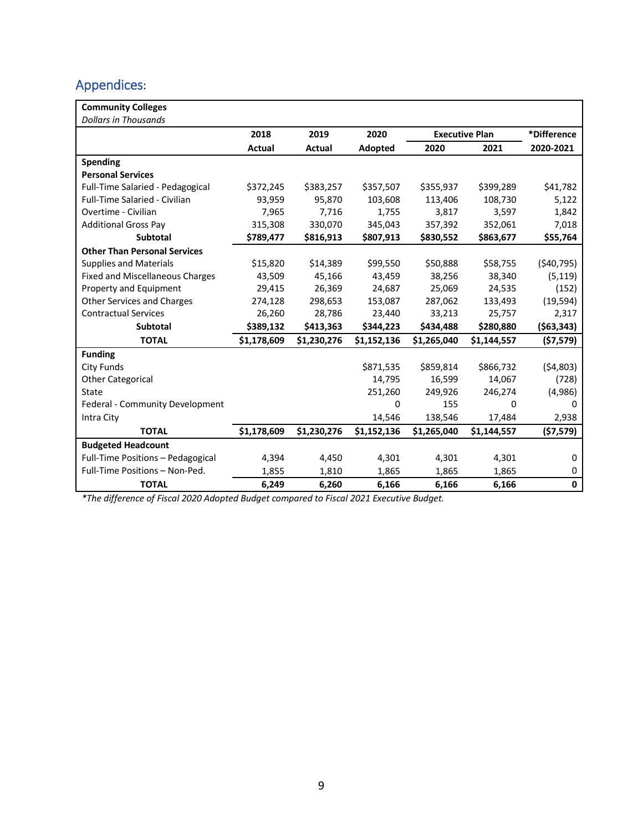# Appendices:

| <b>Community Colleges</b>               |               |             |             |                       |             |              |
|-----------------------------------------|---------------|-------------|-------------|-----------------------|-------------|--------------|
| <b>Dollars in Thousands</b>             |               |             |             |                       |             |              |
|                                         | 2018          | 2019        | 2020        | <b>Executive Plan</b> |             | *Difference  |
|                                         | <b>Actual</b> | Actual      | Adopted     | 2020                  | 2021        | 2020-2021    |
| <b>Spending</b>                         |               |             |             |                       |             |              |
| <b>Personal Services</b>                |               |             |             |                       |             |              |
| <b>Full-Time Salaried - Pedagogical</b> | \$372,245     | \$383,257   | \$357,507   | \$355,937             | \$399,289   | \$41,782     |
| <b>Full-Time Salaried - Civilian</b>    | 93,959        | 95,870      | 103,608     | 113,406               | 108,730     | 5,122        |
| Overtime - Civilian                     | 7,965         | 7,716       | 1,755       | 3,817                 | 3,597       | 1,842        |
| <b>Additional Gross Pay</b>             | 315,308       | 330,070     | 345,043     | 357,392               | 352,061     | 7,018        |
| <b>Subtotal</b>                         | \$789,477     | \$816,913   | \$807,913   | \$830,552             | \$863,677   | \$55,764     |
| <b>Other Than Personal Services</b>     |               |             |             |                       |             |              |
| <b>Supplies and Materials</b>           | \$15,820      | \$14,389    | \$99,550    | \$50,888              | \$58,755    | ( \$40,795)  |
| <b>Fixed and Miscellaneous Charges</b>  | 43,509        | 45,166      | 43,459      | 38,256                | 38,340      | (5, 119)     |
| Property and Equipment                  | 29,415        | 26,369      | 24,687      | 25,069                | 24,535      | (152)        |
| <b>Other Services and Charges</b>       | 274,128       | 298,653     | 153,087     | 287,062               | 133,493     | (19, 594)    |
| <b>Contractual Services</b>             | 26,260        | 28,786      | 23,440      | 33,213                | 25,757      | 2,317        |
| Subtotal                                | \$389,132     | \$413,363   | \$344,223   | \$434,488             | \$280,880   | ( \$63, 343) |
| <b>TOTAL</b>                            | \$1,178,609   | \$1,230,276 | \$1,152,136 | \$1,265,040           | \$1,144,557 | ( \$7,579)   |
| <b>Funding</b>                          |               |             |             |                       |             |              |
| <b>City Funds</b>                       |               |             | \$871,535   | \$859,814             | \$866,732   | (54,803)     |
| <b>Other Categorical</b>                |               |             | 14,795      | 16,599                | 14,067      | (728)        |
| State                                   |               |             | 251,260     | 249,926               | 246,274     | (4,986)      |
| Federal - Community Development         |               |             | 0           | 155                   | 0           | 0            |
| Intra City                              |               |             | 14,546      | 138,546               | 17,484      | 2,938        |
| <b>TOTAL</b>                            | \$1,178,609   | \$1,230,276 | \$1,152,136 | \$1,265,040           | \$1,144,557 | (57, 579)    |
| <b>Budgeted Headcount</b>               |               |             |             |                       |             |              |
| Full-Time Positions - Pedagogical       | 4,394         | 4,450       | 4,301       | 4,301                 | 4,301       | 0            |
| Full-Time Positions - Non-Ped.          | 1,855         | 1,810       | 1,865       | 1,865                 | 1,865       | 0            |
| <b>TOTAL</b>                            | 6,249         | 6,260       | 6,166       | 6,166                 | 6,166       | 0            |

*\*The difference of Fiscal 2020 Adopted Budget compared to Fiscal 2021 Executive Budget.*